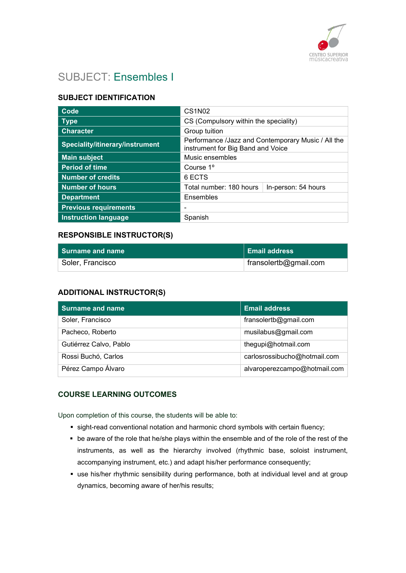

# SUBJECT: Ensembles I

## SUBJECT IDENTIFICATION

| Code                            | <b>CS1N02</b>                                                                           |                     |
|---------------------------------|-----------------------------------------------------------------------------------------|---------------------|
| <b>Type</b>                     | CS (Compulsory within the speciality)                                                   |                     |
| <b>Character</b>                | Group tuition                                                                           |                     |
| Speciality/itinerary/instrument | Performance /Jazz and Contemporary Music / All the<br>instrument for Big Band and Voice |                     |
| <b>Main subject</b>             | Music ensembles                                                                         |                     |
| <b>Period of time</b>           | Course 1 <sup>o</sup>                                                                   |                     |
| <b>Number of credits</b>        | 6 ECTS                                                                                  |                     |
| <b>Number of hours</b>          | Total number: 180 hours                                                                 | In-person: 54 hours |
| <b>Department</b>               | Ensembles                                                                               |                     |
| <b>Previous requirements</b>    |                                                                                         |                     |
| <b>Instruction language</b>     | Spanish                                                                                 |                     |

### RESPONSIBLE INSTRUCTOR(S)

| l Surname and name | ∣ Email address       |
|--------------------|-----------------------|
| Soler, Francisco   | fransolertb@gmail.com |

## ADDITIONAL INSTRUCTOR(S)

| <b>Surname and name</b> | <b>Email address</b>         |
|-------------------------|------------------------------|
| Soler, Francisco        | fransolertb@gmail.com        |
| Pacheco, Roberto        | musilabus@gmail.com          |
| Gutiérrez Calvo, Pablo  | thegupi@hotmail.com          |
| Rossi Buchó, Carlos     | carlosrossibucho@hotmail.com |
| Pérez Campo Álvaro      | alvaroperezcampo@hotmail.com |

## COURSE LEARNING OUTCOMES

Upon completion of this course, the students will be able to:

- sight-read conventional notation and harmonic chord symbols with certain fluency;
- be aware of the role that he/she plays within the ensemble and of the role of the rest of the instruments, as well as the hierarchy involved (rhythmic base, soloist instrument, accompanying instrument, etc.) and adapt his/her performance consequently;
- use his/her rhythmic sensibility during performance, both at individual level and at group dynamics, becoming aware of her/his results;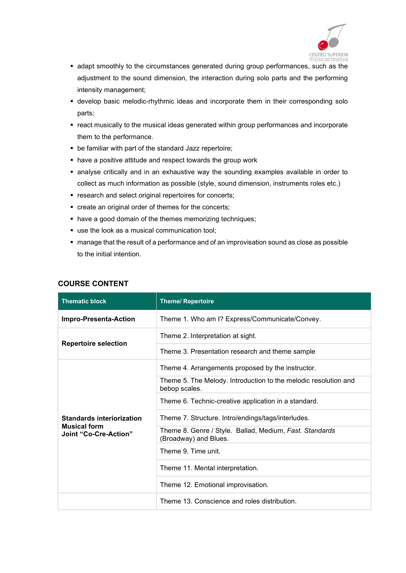

- adapt smoothly to the circumstances generated during group performances, such as the adjustment to the sound dimension, the interaction during solo parts and the performing intensity management;
- develop basic melodic-rhythmic ideas and incorporate them in their corresponding solo parts;
- react musically to the musical ideas generated within group performances and incorporate them to the performance.
- be familiar with part of the standard Jazz repertoire;
- have a positive attitude and respect towards the group work
- analyse critically and in an exhaustive way the sounding examples available in order to collect as much information as possible (style, sound dimension, instruments roles etc.)
- **•** research and select original repertoires for concerts;
- create an original order of themes for the concerts;
- have a good domain of the themes memorizing techniques;
- use the look as a musical communication tool;
- manage that the result of a performance and of an improvisation sound as close as possible to the initial intention.

| <b>Thematic block</b>                               | <b>Theme/ Repertoire</b>                                                         |
|-----------------------------------------------------|----------------------------------------------------------------------------------|
| Impro-Presenta-Action                               | Theme 1. Who am I? Express/Communicate/Convey.                                   |
| <b>Repertoire selection</b>                         | Theme 2. Interpretation at sight.                                                |
|                                                     | Theme 3. Presentation research and theme sample                                  |
|                                                     | Theme 4. Arrangements proposed by the instructor.                                |
|                                                     | Theme 5. The Melody. Introduction to the melodic resolution and<br>bebop scales. |
|                                                     | Theme 6. Technic-creative application in a standard.                             |
| <b>Standards interiorization</b>                    | Theme 7. Structure. Intro/endings/tags/interludes.                               |
| <b>Musical form</b><br><b>Joint "Co-Cre-Action"</b> | Theme 8. Genre / Style. Ballad, Medium, Fast. Standards<br>(Broadway) and Blues. |
|                                                     | Theme 9. Time unit.                                                              |
|                                                     | Theme 11. Mental interpretation.                                                 |
|                                                     | Theme 12. Emotional improvisation.                                               |
|                                                     | Theme 13. Conscience and roles distribution.                                     |

#### COURSE CONTENT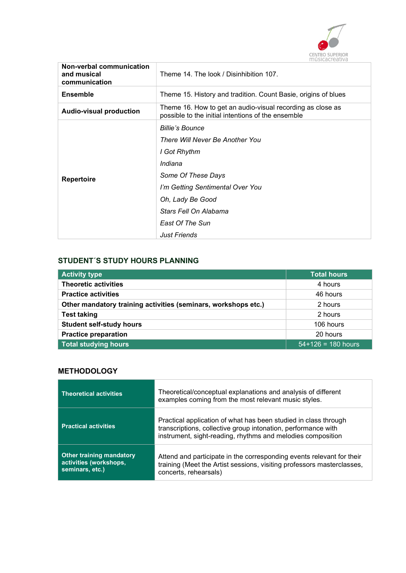

| Non-verbal communication<br>and musical<br>communication | Theme 14. The look / Disinhibition 107.                                                                          |
|----------------------------------------------------------|------------------------------------------------------------------------------------------------------------------|
| <b>Ensemble</b>                                          | Theme 15. History and tradition. Count Basie, origins of blues                                                   |
| <b>Audio-visual production</b>                           | Theme 16. How to get an audio-visual recording as close as<br>possible to the initial intentions of the ensemble |
|                                                          | <b>Billie's Bounce</b>                                                                                           |
| <b>Repertoire</b>                                        | There Will Never Be Another You                                                                                  |
|                                                          | I Got Rhythm                                                                                                     |
|                                                          | Indiana                                                                                                          |
|                                                          | Some Of These Days                                                                                               |
|                                                          | I'm Getting Sentimental Over You                                                                                 |
|                                                          | Oh, Lady Be Good                                                                                                 |
|                                                          | Stars Fell On Alabama                                                                                            |
|                                                          | <b>East Of The Sun</b>                                                                                           |
|                                                          | <b>Just Friends</b>                                                                                              |

#### STUDENT´S STUDY HOURS PLANNING

| <b>Activity type</b>                                           | <b>Total hours</b>   |
|----------------------------------------------------------------|----------------------|
| <b>Theoretic activities</b>                                    | 4 hours              |
| <b>Practice activities</b>                                     | 46 hours             |
| Other mandatory training activities (seminars, workshops etc.) | 2 hours              |
| <b>Test taking</b>                                             | 2 hours              |
| <b>Student self-study hours</b>                                | 106 hours            |
| <b>Practice preparation</b>                                    | 20 hours             |
| Total studying hours                                           | $54+126 = 180$ hours |

#### **METHODOLOGY**

| <b>Theoretical activities</b>                                                | Theoretical/conceptual explanations and analysis of different<br>examples coming from the most relevant music styles.                                                                           |
|------------------------------------------------------------------------------|-------------------------------------------------------------------------------------------------------------------------------------------------------------------------------------------------|
| <b>Practical activities</b>                                                  | Practical application of what has been studied in class through<br>transcriptions, collective group intonation, performance with<br>instrument, sight-reading, rhythms and melodies composition |
| <b>Other training mandatory</b><br>activities (workshops,<br>seminars, etc.) | Attend and participate in the corresponding events relevant for their<br>training (Meet the Artist sessions, visiting professors masterclasses,<br>concerts, rehearsals)                        |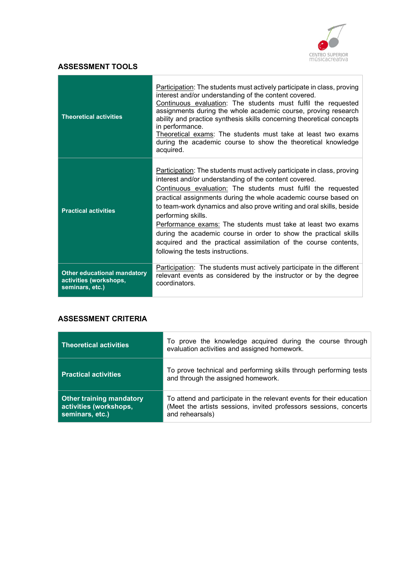

## ASSESSMENT TOOLS

| <b>Theoretical activities</b>                                                   | Participation: The students must actively participate in class, proving<br>interest and/or understanding of the content covered.<br>Continuous evaluation: The students must fulfil the requested<br>assignments during the whole academic course, proving research<br>ability and practice synthesis skills concerning theoretical concepts<br>in performance.<br>Theoretical exams: The students must take at least two exams<br>during the academic course to show the theoretical knowledge<br>acquired.                                                                                                   |
|---------------------------------------------------------------------------------|----------------------------------------------------------------------------------------------------------------------------------------------------------------------------------------------------------------------------------------------------------------------------------------------------------------------------------------------------------------------------------------------------------------------------------------------------------------------------------------------------------------------------------------------------------------------------------------------------------------|
| <b>Practical activities</b>                                                     | Participation: The students must actively participate in class, proving<br>interest and/or understanding of the content covered.<br>Continuous evaluation: The students must fulfil the requested<br>practical assignments during the whole academic course based on<br>to team-work dynamics and also prove writing and oral skills, beside<br>performing skills.<br>Performance exams: The students must take at least two exams<br>during the academic course in order to show the practical skills<br>acquired and the practical assimilation of the course contents,<br>following the tests instructions. |
| <b>Other educational mandatory</b><br>activities (workshops,<br>seminars, etc.) | Participation: The students must actively participate in the different<br>relevant events as considered by the instructor or by the degree<br>coordinators.                                                                                                                                                                                                                                                                                                                                                                                                                                                    |

## ASSESSMENT CRITERIA

| <b>Theoretical activities</b>                                                | To prove the knowledge acquired during the course through<br>evaluation activities and assigned homework.                                                    |
|------------------------------------------------------------------------------|--------------------------------------------------------------------------------------------------------------------------------------------------------------|
| <b>Practical activities</b>                                                  | To prove technical and performing skills through performing tests<br>and through the assigned homework.                                                      |
| <b>Other training mandatory</b><br>activities (workshops,<br>seminars, etc.) | To attend and participate in the relevant events for their education<br>(Meet the artists sessions, invited professors sessions, concerts<br>and rehearsals) |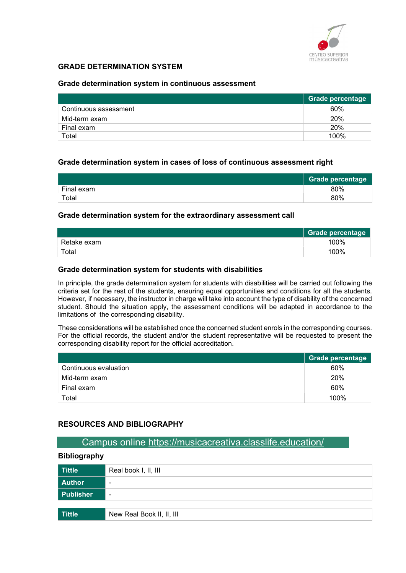

### GRADE DETERMINATION SYSTEM

#### Grade determination system in continuous assessment

|                       | Grade percentage |
|-----------------------|------------------|
| Continuous assessment | 60%              |
| Mid-term exam         | 20%              |
| Final exam            | 20%              |
| Total                 | 100%             |

#### Grade determination system in cases of loss of continuous assessment right

|            | <b>Grade percentage</b> |
|------------|-------------------------|
| Final exam | 80%                     |
| Total      | 80%                     |

#### Grade determination system for the extraordinary assessment call

|             | <b>Grade percentage</b> |
|-------------|-------------------------|
| Retake exam | 100%                    |
| Total       | 100%                    |

#### Grade determination system for students with disabilities

In principle, the grade determination system for students with disabilities will be carried out following the criteria set for the rest of the students, ensuring equal opportunities and conditions for all the students. However, if necessary, the instructor in charge will take into account the type of disability of the concerned student. Should the situation apply, the assessment conditions will be adapted in accordance to the limitations of the corresponding disability.

These considerations will be established once the concerned student enrols in the corresponding courses. For the official records, the student and/or the student representative will be requested to present the corresponding disability report for the official accreditation.

|                       | Grade percentage |
|-----------------------|------------------|
| Continuous evaluation | 60%              |
| Mid-term exam         | 20%              |
| Final exam            | 60%              |
| Total                 | 100%             |

#### RESOURCES AND BIBLIOGRAPHY

#### Campus online https://musicacreativa.classlife.education/

#### Bibliography

| <b>Tittle</b> | Real book I, II, III      |
|---------------|---------------------------|
| <b>Author</b> | $\overline{\phantom{0}}$  |
| Publisher     | $\overline{\phantom{a}}$  |
|               |                           |
| <b>Tittle</b> | New Real Book II, II, III |